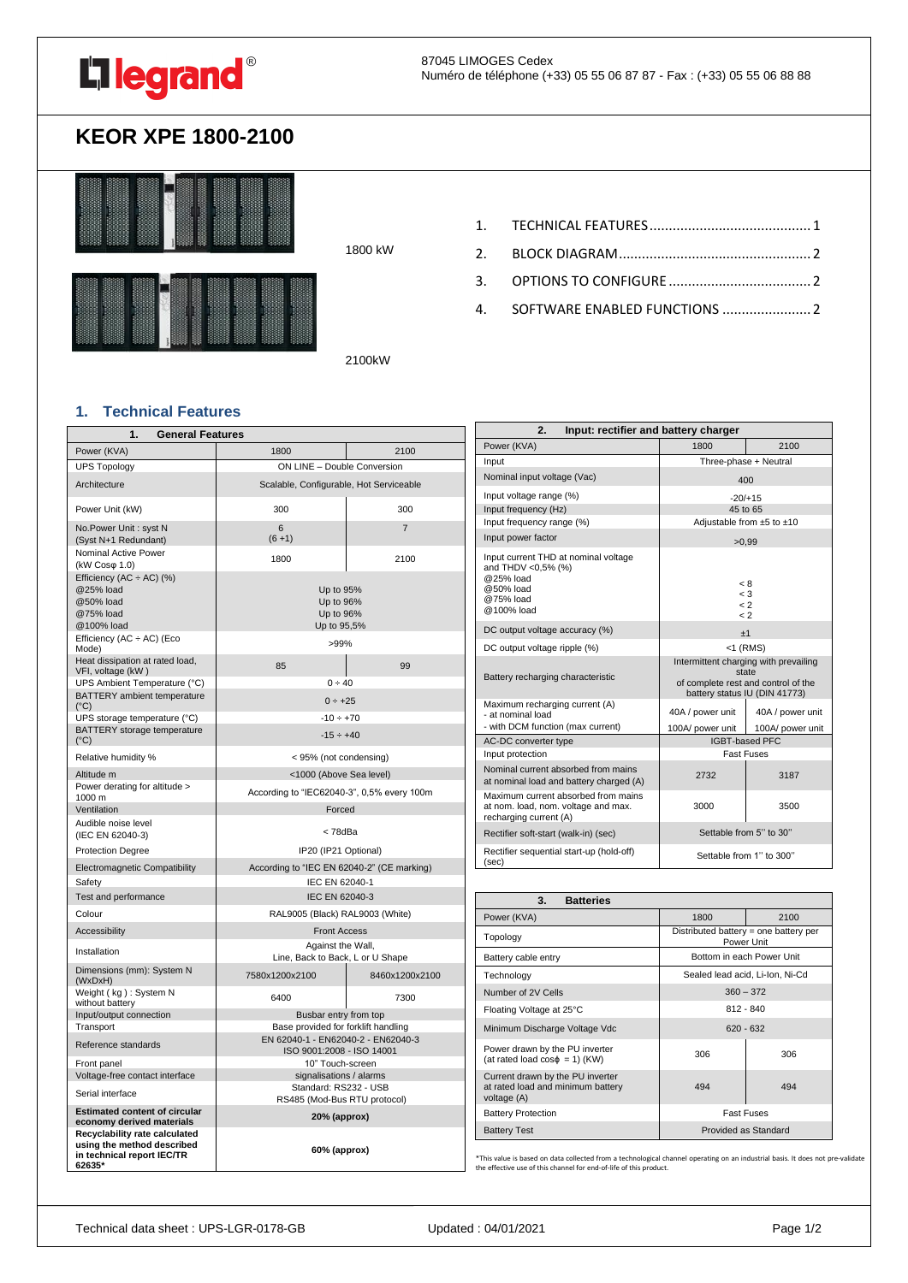

# **KEOR XPE 1800-2100**



1800 kW

4. [SOFTWARE ENABLED FUNCTIONS](#page-1-2) ....................... 2

2100kW

## <span id="page-0-0"></span>**1. Technical Features**

| 1.<br><b>General Features</b>                                                                       |                                                                           |                |
|-----------------------------------------------------------------------------------------------------|---------------------------------------------------------------------------|----------------|
| Power (KVA)                                                                                         | 1800                                                                      | 2100           |
| <b>UPS Topology</b>                                                                                 | ON LINE - Double Conversion                                               |                |
| Architecture                                                                                        | Scalable, Configurable, Hot Serviceable                                   |                |
| Power Unit (kW)                                                                                     | 300                                                                       | 300            |
| No.Power Unit: syst N<br>(Syst N+1 Redundant)                                                       | 6<br>$(6 + 1)$                                                            | $\overline{7}$ |
| Nominal Active Power<br>(kW Cosφ 1.0)                                                               | 1800                                                                      | 2100           |
| Efficiency (AC $\div$ AC) (%)<br>@25% load<br>@50% load<br>@75% load<br>@100% load                  | Up to 95%<br>Up to 96%<br>Up to 96%<br>Up to 95,5%                        |                |
| Efficiency $(AC \div AC)$ (Eco<br>Mode)                                                             | $>99\%$                                                                   |                |
| Heat dissipation at rated load,<br>VFI, voltage (kW)                                                | 85                                                                        | 99             |
| UPS Ambient Temperature (°C)<br>BATTERY ambient temperature                                         | 0 ÷ 40                                                                    |                |
| $(^{\circ}C)$                                                                                       | $0 \div 25$                                                               |                |
| UPS storage temperature (°C)<br>BATTERY storage temperature                                         | $-10 \div +70$                                                            |                |
| $(^{\circ}C)$                                                                                       | $-15 \div +40$                                                            |                |
| Relative humidity %                                                                                 | < 95% (not condensing)                                                    |                |
| Altitude m                                                                                          | <1000 (Above Sea level)                                                   |                |
| Power derating for altitude ><br>1000 m                                                             | According to "IEC62040-3", 0,5% every 100m                                |                |
| Ventilation                                                                                         | Forced                                                                    |                |
| Audible noise level<br>(IEC EN 62040-3)                                                             | < 78dBa                                                                   |                |
| <b>Protection Degree</b>                                                                            | IP20 (IP21 Optional)                                                      |                |
| Electromagnetic Compatibility                                                                       | According to "IEC EN 62040-2" (CE marking)                                |                |
| Safety                                                                                              | IEC EN 62040-1                                                            |                |
| Test and performance                                                                                | IEC EN 62040-3                                                            |                |
| Colour                                                                                              | RAL9005 (Black) RAL9003 (White)                                           |                |
| Accessibility                                                                                       | <b>Front Access</b>                                                       |                |
| Installation                                                                                        | Against the Wall,<br>Line, Back to Back, L or U Shape                     |                |
| Dimensions (mm): System N<br>(WxDxH)                                                                | 7580x1200x2100                                                            | 8460x1200x2100 |
| Weight (kg): System N<br>without battery                                                            | 6400                                                                      | 7300           |
| Input/output connection                                                                             | Busbar entry from top                                                     |                |
| Transport<br>Reference standards                                                                    | Base provided for forklift handling<br>EN 62040-1 - EN62040-2 - EN62040-3 |                |
| Front panel                                                                                         | ISO 9001:2008 - ISO 14001<br>10" Touch-screen                             |                |
| Voltage-free contact interface                                                                      | signalisations / alarms                                                   |                |
| Serial interface                                                                                    | Standard: RS232 - USB<br>RS485 (Mod-Bus RTU protocol)                     |                |
| <b>Estimated content of circular</b><br>economy derived materials                                   | 20% (approx)                                                              |                |
| Recyclability rate calculated<br>using the method described<br>in technical report IEC/TR<br>62635* | 60% (approx)                                                              |                |

| Input: rectifier and battery charger<br>2.                                                                      |                                                                                                                        |                  |
|-----------------------------------------------------------------------------------------------------------------|------------------------------------------------------------------------------------------------------------------------|------------------|
| Power (KVA)                                                                                                     | 1800                                                                                                                   | 2100             |
| Input                                                                                                           | Three-phase + Neutral                                                                                                  |                  |
| Nominal input voltage (Vac)                                                                                     | 400                                                                                                                    |                  |
| Input voltage range (%)                                                                                         | $-20/+15$                                                                                                              |                  |
| Input frequency (Hz)                                                                                            | 45 to 65                                                                                                               |                  |
| Input frequency range (%)                                                                                       | Adjustable from ±5 to ±10                                                                                              |                  |
| Input power factor                                                                                              | >0.99                                                                                                                  |                  |
| Input current THD at nominal voltage<br>and THDV <0,5% (%)<br>@25% load<br>@50% load<br>@75% load<br>@100% load | < 8<br>$\leq 3$<br>$\leq$ 2<br>$\leq$ 2                                                                                |                  |
| DC output voltage accuracy (%)                                                                                  | ±1                                                                                                                     |                  |
| DC output voltage ripple (%)                                                                                    | $<$ 1 (RMS)                                                                                                            |                  |
| Battery recharging characteristic                                                                               | Intermittent charging with prevailing<br>state<br>of complete rest and control of the<br>battery status IU (DIN 41773) |                  |
| Maximum recharging current (A)<br>- at nominal load                                                             | 40A / power unit                                                                                                       | 40A / power unit |
| - with DCM function (max current)                                                                               | 100A/ power unit                                                                                                       | 100A/ power unit |
| AC-DC converter type                                                                                            | <b>IGBT-based PFC</b>                                                                                                  |                  |
| Input protection                                                                                                | <b>Fast Fuses</b>                                                                                                      |                  |
| Nominal current absorbed from mains<br>at nominal load and battery charged (A)                                  | 2732                                                                                                                   | 3187             |
| Maximum current absorbed from mains<br>at nom. load, nom. voltage and max.<br>recharging current (A)            | 3000                                                                                                                   | 3500             |
| Rectifier soft-start (walk-in) (sec)                                                                            | Settable from 5" to 30"                                                                                                |                  |
| Rectifier sequential start-up (hold-off)<br>(sec)                                                               | Settable from 1" to 300"                                                                                               |                  |

| 3.<br><b>Batteries</b>                                                               |                                                     |                                 |
|--------------------------------------------------------------------------------------|-----------------------------------------------------|---------------------------------|
| Power (KVA)                                                                          | 1800                                                | 2100                            |
| Topology                                                                             | Distributed battery = one battery per<br>Power Unit |                                 |
| Battery cable entry                                                                  |                                                     | Bottom in each Power Unit       |
| Technology                                                                           |                                                     | Sealed lead acid, Li-Ion, Ni-Cd |
| $360 - 372$<br>Number of 2V Cells                                                    |                                                     |                                 |
| Floating Voltage at 25°C                                                             | $812 - 840$                                         |                                 |
| Minimum Discharge Voltage Vdc                                                        |                                                     | $620 - 632$                     |
| Power drawn by the PU inverter<br>(at rated load $cos\phi = 1$ ) (KW)                | 306                                                 | 306                             |
| Current drawn by the PU inverter<br>at rated load and minimum battery<br>voltage (A) | 494                                                 | 494                             |
| <b>Battery Protection</b>                                                            |                                                     | <b>Fast Fuses</b>               |
| <b>Battery Test</b>                                                                  | Provided as Standard                                |                                 |

\*This value is based on data collected from a technological channel operating on an industrial basis. It does not pre-validate the effective use of this channel for end-of-life of this product.